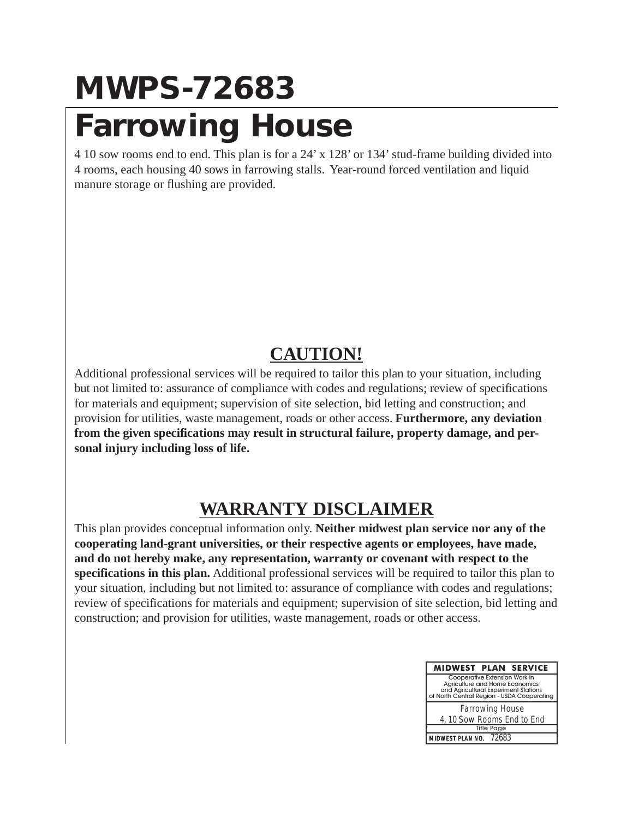## **MWPS-72683 Farrowing House**

4 10 sow rooms end to end. This plan is for a 24' x 128' or 134' stud-frame building divided into 4 rooms, each housing 40 sows in farrowing stalls. Year-round forced ventilation and liquid manure storage or flushing are provided.

#### **CAUTION!**

Additional professional services will be required to tailor this plan to your situation, including but not limited to: assurance of compliance with codes and regulations; review of specifications for materials and equipment; supervision of site selection, bid letting and construction; and provision for utilities, waste management, roads or other access. **Furthermore, any deviation from the given specifications may result in structural failure, property damage, and personal injury including loss of life.**

### **WARRANTY DISCLAIMER**

This plan provides conceptual information only. **Neither midwest plan service nor any of the cooperating land-grant universities, or their respective agents or employees, have made, and do not hereby make, any representation, warranty or covenant with respect to the specifications in this plan.** Additional professional services will be required to tailor this plan to your situation, including but not limited to: assurance of compliance with codes and regulations; review of specifications for materials and equipment; supervision of site selection, bid letting and construction; and provision for utilities, waste management, roads or other access.

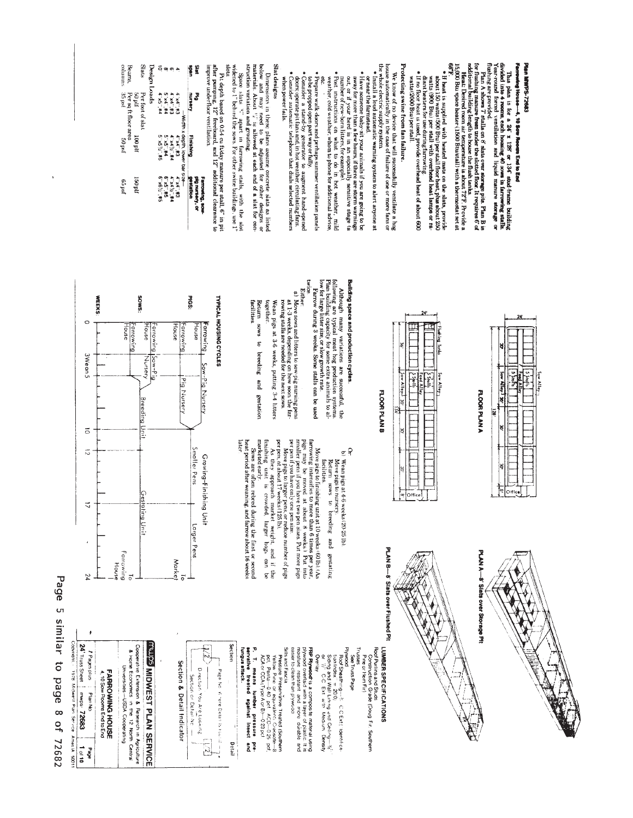# Plan MWPS-72683

# Farrowing House-4, 10 Sow Recents End to End

This plan is for a 24' x 128' or 134' stock frame building<br>divided into 4 recens, each housing 40 sows in farrowing stalls.<br>Year-round forced ventilation and liquid manure storage or

- flushing A shows 7 stalls on 8' slats over storage pits. Plan B is defining manure from noder the slotted float. It requires 6' of the line of property in the slotted float in the slotted float in the slotted float of the
- 
- $\bullet$  if heat is supplied with heated mata on the slats, provide watts (500 Bku) per offsul linear basis, provide watts (500 Bku) per offsul with overlaps (250 Bku) per offsul linear parts (500 Bku) per offsul linear parts
- watts (2000 Btu) per stall

# Protecting swine from fan failure.

- We know of no device that will successfully ventilate a hog<br>house automatically in the case of failure of one or more fans or<br>the whole electric supply system.
- · Install a loud automatic warning system to alert anyone at
- · Have someone baby-sit your animals if you are going to be or near the farmstead.
- out, or if your herd is in an especially sensitive stage (a number of new-born littlers, for example). away for more than a few hours, if there are storm warnings
- · Post instructions on what to do in hot weather, mild weather, cold weather; whom to phone for additional advice,

Although many variations are successful, the Plan wing are typical for the production systems.<br>Plan wing are typical for the production systems, but allow the large litter size, or slow growth rate.<br>low for large litter s

Either<br>
and Moreows and litters to sow-pig runsing pens<br>
a M-1-3 weeks, depending on how soon the far-<br>
rowing stalls are needed for the next sows.<br>
rowing stalls are needed for the next sows.

Move pigs to finishing unit at 10 weeks (60 lb). (As also may be moved at about 8 weeks) Pur into the moved at about 8 weeks) Pur into the moved at about 8 weeks) Pur into the moved into the two perturbations of the state

Wean pigs at 3-6 weeks, putting 3-4 litters<br>together.

Return sows to breeding and gestation

finishing unit is crowded larger<br>marketedearly.

As they approach market weight, and if the shing unit is crowded, larger hogs can be

Slils and Fascia<br>Metaxia Presenvätive Treated (Southern<br>Yeltow Princ or equivalenti Creosote—8<br>Dict, Penta—0 40 pct.<br>ACA or CCA (Type Arc B)—023 pct.

**FRP Plywood** is a composite material using<br>mosture resistant and more of plastic. It is<br>mosture resistant and more cluable and<br>easier to clean than plywood

Overlay

P. T. means lumber pressure pre-<br>servative treated against insect and<br>fungus attack.

ń

Detail

 $+L = p \cdot r$ 

 $\widetilde{\mathcal{C}}$ 

Sows are often rebred during the first or second<br>heat period after weaning, and farrow about 16 weeks

bection

later

facilities

Building space and production cycles.

 $\in \mathbb{Q}$ 

Wean pigs at 4-6 weeks (20-25 lb).<br>Move pigs to nursery.

Plywood<br>Roof Sheathring—*1*⊹ C.C.Ext( 'identifica<br>tion Index' = 20,0)

Siding and Wall Lining and Celing--16"<br>Siding and Wall Lining and Celing--16"

ż.

Trusses

See Truss Page Pine or Hem Fir)

sows to breeding and gestating

**Iacilities** Keturn

- Prepare walk-doors and perhaps summer ventilation panels
- **C** to be propped open part way or fully, a ugnent hand-opened doors; operate primary in the construction of the constant of the constant of the constant of the constant of the constant of the constant of the constant of
- when power fails.

Dimensions in these plans assume concrete slats as listed<br>below and may need to be adjusted for other designs or<br>materials. About  $\mathbb{V}^*$  is allowed at each end of a slat for con-Slat designs

struction variation and grouting.<br>Space slats  $\mathbb{V}^*$  apart in farrowing stalls, with the slot widened to  $i^*$  behind the sows. For other swine buildings, use 1"

Pit depth based on 0.54 cu ft/day manure per stall,  $6$ ' in pit<br>dfer pumping, 12° freeboard, and 12° additional clearance to<br>mprove underfloor ventilation.

| š            | š                |                                 | <b>LELIONING</b> SOM<br>Dig nurseny, or |
|--------------|------------------|---------------------------------|-----------------------------------------|
| <b>S</b>     | mrsery           | <b>Finishing</b>                | restation                               |
|              |                  | -Width x depth, lower bar size- |                                         |
| ۸            | E#'.px.t         | <b>C# .PX.P</b>                 | <b>S#  +× +</b>                         |
| თ            | E#  PX #         | P#`.3{ p×b                      | <b>ATAS 1241</b>                        |
|              | P# 14.           | P#  9x                          | S#  9                                   |
| ಕ್ಕೊ         | <b>AT AS ALA</b> | S#  5/ SX 9                     | S# 49X.9                                |
| Design Loads |                  |                                 |                                         |

|          | Slats            | Design Loads | ే ఇ                                 |                  | O)                  | ٠              |                                 | $\overline{a}$ |
|----------|------------------|--------------|-------------------------------------|------------------|---------------------|----------------|---------------------------------|----------------|
| JIq 08   | Per foot of slat |              | 74.50                               | P# 14.           | E# PX P             | E#'.px.t       |                                 |                |
| 1100 plf |                  |              | S# % SX.9                           | <b>PH  SY 专</b>  | P#`.3{ p×b          | <b>Dat: #2</b> | -Width x depth, lower bar size- |                |
| 150 plf  |                  |              | 2# <sup>2</sup> / <sub>1</sub> 9X.9 | <b>G. x5. #5</b> | <b>W# ?/ \$X  #</b> | <b>S# #X.P</b> |                                 |                |

eo psf

Beans,<br>columns Per sq ft floor area<br>35 pst<br>35 pst

**WEEKS** 

c

3Wean 5

 $\vec{0}$ 

 $\vec{v}$ 

 $\overline{a}$ 

à,

24

24<sup>'</sup> Truss Sheet

1978 Midwest Plan Service AmesiA 50011

1 of 10

abed

**/ Pages plus** 

**PlanNo** mwps 72683

Page 5 similar to page 8 of 72682

**SANOS** 

House

Nursery Saw-Pi

Breeding Unil

Gestating Unit

Farrowing

 $\overline{\circ}$ 

**INUDE MIDWEST PLAN SERVICE** 

Cooperative Extension & Research in Agriculture

& Horne Economics in

the 12 North Central

Universites-USDA Cooperating

FARROWING HOUSE<br>4.10 Sow Rooms End to End

House

arrowing

Farrowing<br>House

TYPICAL HOUSING CYCLES

**S91d** 

House

arrowing 1

Sow-Pig Nursery

Smaller Pens

Larger Pens

**Morket** 

 $\overline{\circ}$ 

Section & Detail Indicator

Direction You Are Looking Page No. Vinee Detail is Four

Section or Defail No. -

L

Growing-Finishing Unit

House

arrowing

Pig Nursery

 $\frac{1}{\sqrt{2}}$  sex Alley<sup>1</sup> 30' لننتين **FLOOR PLAN A** 

PLAN A-8' Siats over Storage Pit

**E** Office

 $\frac{1}{2}$  spoke

**Plushing** Tank **HELEN TO BE AND THE AMERICAN** E  $\boxed{\phantom{a}}$ Sow Alley E ĕ ŧ  $\frac{1}{\sqrt{2}}$  Office

**FLOOR PLAN B** 

PLAN B-8' Slats over Flushed Pit

LUMBER SPECIFICATIONS

Roof Purins and Studs<br>Construction\_Grade (Doug Fir, Southern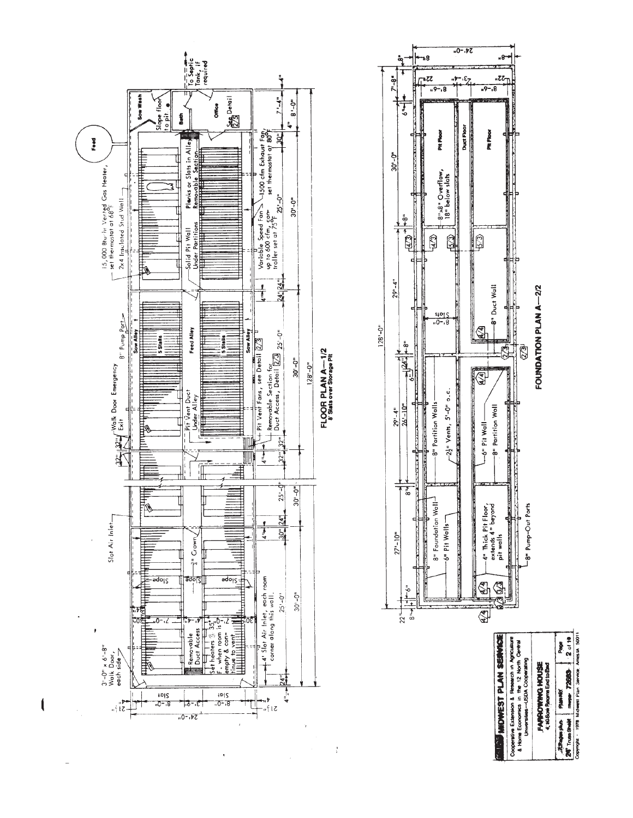

 $\frac{1}{2}$ 

Page 1

Copyright - 1978 Midwest Plan Service, Ames IA 5001

maps 72600

**Plumer** 

set also also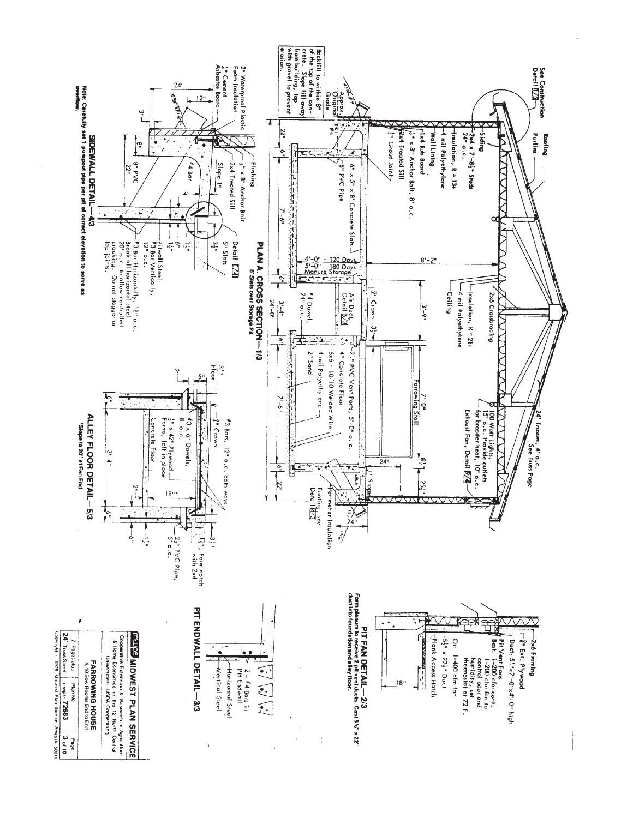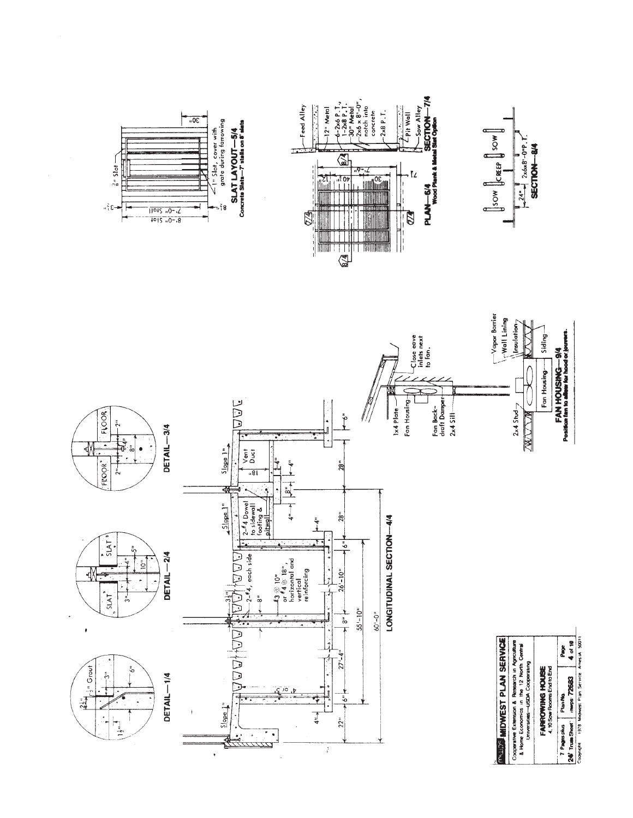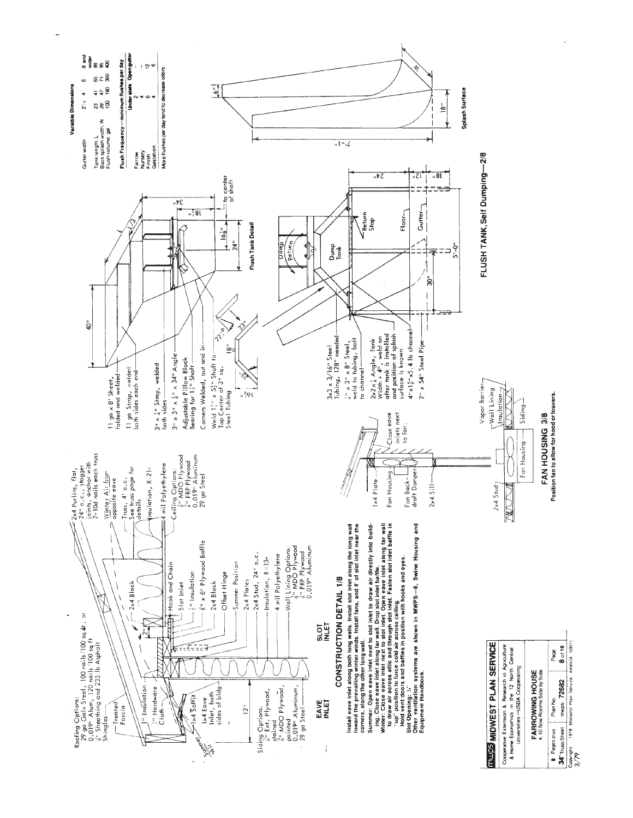

 $\overline{a}$ 

Copyright 1978 Midwest Plan Service, Amerik 50011<br>3/79 34' Truss Sheet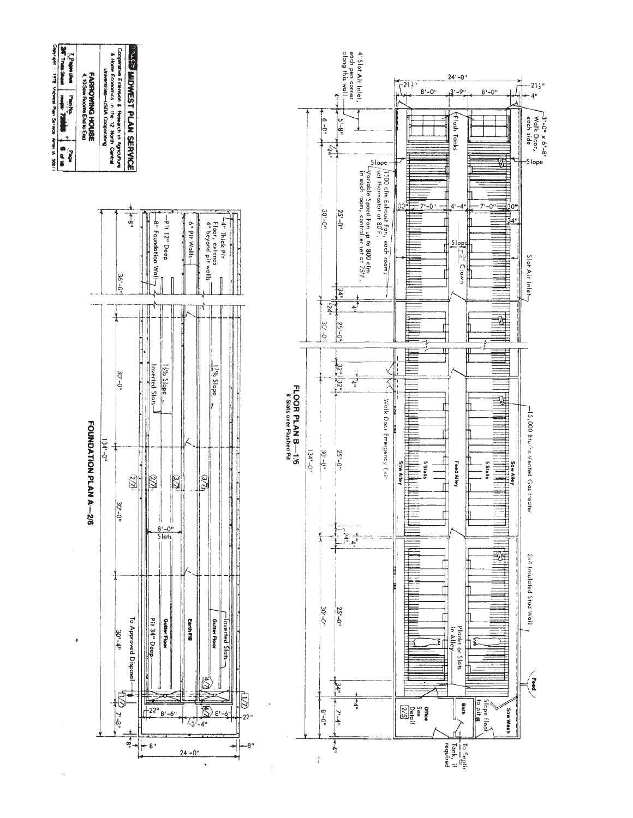| Copyright - 1978 Midnest Plan Serietar Ames to 50011<br><b>SAT TIME SHAK</b><br>and subs $f'$<br>4.10 Sow Rooms End to End<br><b>Children</b><br>men. 72 | FARROWNED HOUSE | & Home Economics in the 12 North Central<br>Universities-USDA Cooperating | <b><i><u>INJUSS</u></i></b> MIDWEST PLAN SERVICE<br>Cooperative Extension & Research in Agriculture |         |                      |                                                                                                   |                                    |                                |                                |                                        |                                                                                                                                                                                                                                                       |                             |     |                                               |              | $-6 - 6$             | dong this wall<br>$\ddot{\ddagger}$<br>$-8 - 5$ | each pen corner<br>4' Slot Air Inlet, |
|----------------------------------------------------------------------------------------------------------------------------------------------------------|-----------------|---------------------------------------------------------------------------|-----------------------------------------------------------------------------------------------------|---------|----------------------|---------------------------------------------------------------------------------------------------|------------------------------------|--------------------------------|--------------------------------|----------------------------------------|-------------------------------------------------------------------------------------------------------------------------------------------------------------------------------------------------------------------------------------------------------|-----------------------------|-----|-----------------------------------------------|--------------|----------------------|-------------------------------------------------|---------------------------------------|
| <b>ON 18</b><br>$\frac{1}{2}$                                                                                                                            |                 |                                                                           | $\frac{1}{2}$<br>$36 - 011$                                                                         |         | -8" Foundation Wall- | -Pit 12" Deep                                                                                     |                                    | $\frac{1}{2}$<br>6" Pit Walls- |                                | Floor, extends<br>4" beyand pit walls" | -4" Thick Pit<br><u> The Company of the Company of the Company of the Company of the Company of the Company of the Company of the Company of the Company of the Company of the Company of the Company of the Company of the Company of the Compan</u> |                             |     |                                               |              | $-241$<br>$30 - 011$ | $25^{1}-0^{11}$                                 | in Buch Joom, Controller set at 70 F. |
|                                                                                                                                                          |                 |                                                                           | $30 - 0th$                                                                                          | F<br>l. | Inverted Slats.      | $\frac{1}{2}$ $\frac{9}{2}$ $\frac{5}{2}$ $\frac{1}{2}$ $\frac{9}{2}$ $\frac{6}{2}$ $\frac{1}{2}$ |                                    | J                              |                                | $3\%$ Slope                            | <u> 1979 - Jan Barry Stern Wallen, market by de familie fan d</u>                                                                                                                                                                                     |                             |     | FLOOR PLAN B-1/6<br>8' Slats over Flushed Pit |              | $+52,$<br>$30 - 0$   | $\frac{1}{24}$<br>$25 - 0^n$<br>$\frac{32}{22}$ | $+ \frac{1}{4}$<br>الہا<br>پا         |
| FOUNDATION PLAN A<br>$-2/6$                                                                                                                              |                 | $134' - 0''$                                                              | $\widetilde{W}$<br>$30' - 0''$                                                                      |         | 27th                 | $\frac{8!}{5!}$                                                                                   | $\mathbb{Z}^{\mathbb{Z}}$<br> <br> |                                | $\widetilde{\mathcal{E}}$<br>Ï |                                        |                                                                                                                                                                                                                                                       | l<br> <br> <br>ŀ<br>i.<br>H |     |                                               | $134' - 0''$ | $30 - 0.4$           | $25' - 0''$                                     | 的样                                    |
| þ                                                                                                                                                        |                 |                                                                           | To Approved Disposal-<br>$30^{1-4}$ "                                                               |         | Pit 34" Deep         | <b>Gutter Floor</b>                                                                               |                                    | Earth Fill                     |                                | <b>Gutter Floor</b>                    | Inverted Slats.                                                                                                                                                                                                                                       | $\overline{\mathbb{Q}}$     |     |                                               |              | $30 - 0$ "           | $25 - 0''$<br>z4"                               | İ+4"                                  |
|                                                                                                                                                          |                 |                                                                           | $7 - 8.7$<br>ផ្                                                                                     |         | 22"<br>- 8"          | $8 - 6$ "                                                                                         |                                    | $-3$<br>$24 - 0$ "             |                                | 8'                                     |                                                                                                                                                                                                                                                       | 22"                         | -8" |                                               |              | $8 - 9^n$            | 7-4"<br>Ļ                                       |                                       |

 $\hat{\mathbf{r}}$